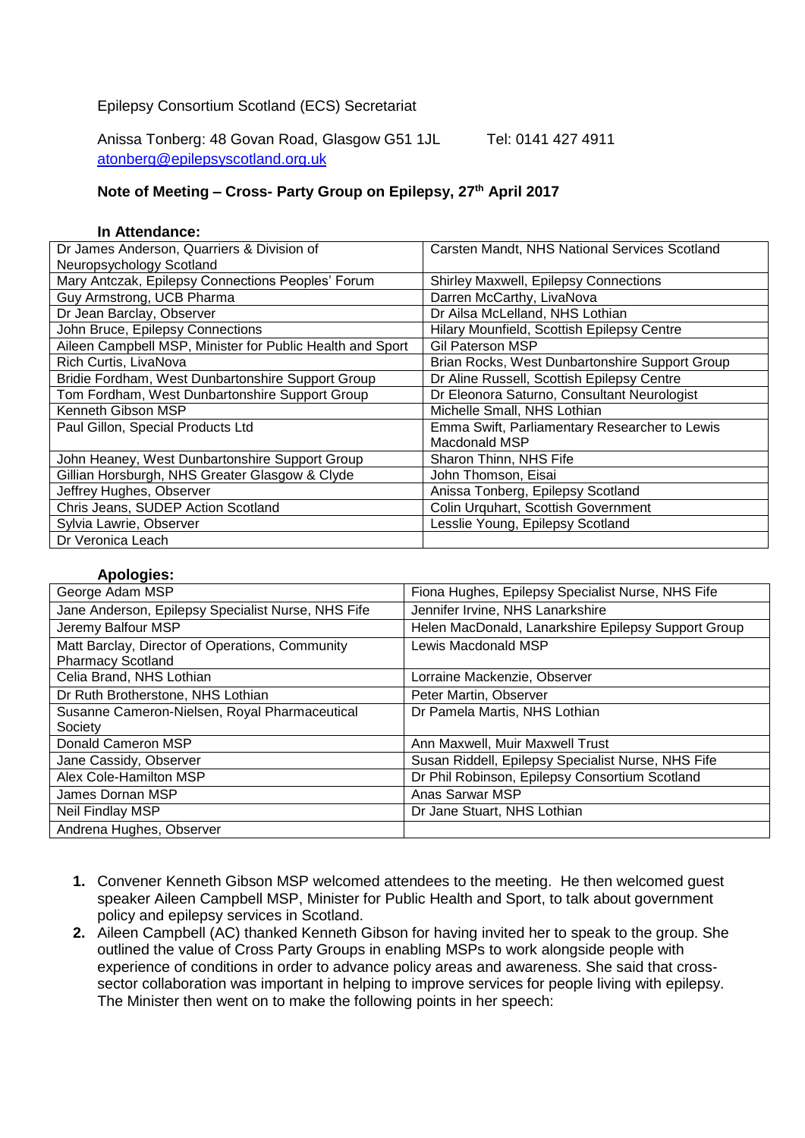## Epilepsy Consortium Scotland (ECS) Secretariat

Anissa Tonberg: 48 Govan Road, Glasgow G51 1JL Tel: 0141 427 4911 [atonberg@epilepsyscotland.org.uk](mailto:atonberg@epilepsyscotland.org.uk)

## **Note of Meeting – Cross- Party Group on Epilepsy, 27th April 2017**

## **In Attendance:**

| Dr James Anderson, Quarriers & Division of                | Carsten Mandt, NHS National Services Scotland  |
|-----------------------------------------------------------|------------------------------------------------|
| Neuropsychology Scotland                                  |                                                |
| Mary Antczak, Epilepsy Connections Peoples' Forum         | Shirley Maxwell, Epilepsy Connections          |
| Guy Armstrong, UCB Pharma                                 | Darren McCarthy, LivaNova                      |
| Dr Jean Barclay, Observer                                 | Dr Ailsa McLelland, NHS Lothian                |
| John Bruce, Epilepsy Connections                          | Hilary Mounfield, Scottish Epilepsy Centre     |
| Aileen Campbell MSP, Minister for Public Health and Sport | <b>Gil Paterson MSP</b>                        |
| Rich Curtis, LivaNova                                     | Brian Rocks, West Dunbartonshire Support Group |
| Bridie Fordham, West Dunbartonshire Support Group         | Dr Aline Russell, Scottish Epilepsy Centre     |
| Tom Fordham, West Dunbartonshire Support Group            | Dr Eleonora Saturno, Consultant Neurologist    |
| Kenneth Gibson MSP                                        | Michelle Small, NHS Lothian                    |
| Paul Gillon, Special Products Ltd                         | Emma Swift, Parliamentary Researcher to Lewis  |
|                                                           | Macdonald MSP                                  |
| John Heaney, West Dunbartonshire Support Group            | Sharon Thinn, NHS Fife                         |
| Gillian Horsburgh, NHS Greater Glasgow & Clyde            | John Thomson, Eisai                            |
| Jeffrey Hughes, Observer                                  | Anissa Tonberg, Epilepsy Scotland              |
| Chris Jeans, SUDEP Action Scotland                        | Colin Urquhart, Scottish Government            |
| Sylvia Lawrie, Observer                                   | Lesslie Young, Epilepsy Scotland               |
| Dr Veronica Leach                                         |                                                |

## **Apologies:**

| George Adam MSP                                                             | Fiona Hughes, Epilepsy Specialist Nurse, NHS Fife   |
|-----------------------------------------------------------------------------|-----------------------------------------------------|
| Jane Anderson, Epilepsy Specialist Nurse, NHS Fife                          | Jennifer Irvine, NHS Lanarkshire                    |
| Jeremy Balfour MSP                                                          | Helen MacDonald, Lanarkshire Epilepsy Support Group |
| Matt Barclay, Director of Operations, Community<br><b>Pharmacy Scotland</b> | Lewis Macdonald MSP                                 |
| Celia Brand, NHS Lothian                                                    | Lorraine Mackenzie, Observer                        |
| Dr Ruth Brotherstone, NHS Lothian                                           | Peter Martin, Observer                              |
| Susanne Cameron-Nielsen, Royal Pharmaceutical                               | Dr Pamela Martis, NHS Lothian                       |
| Society                                                                     |                                                     |
| Donald Cameron MSP                                                          | Ann Maxwell, Muir Maxwell Trust                     |
| Jane Cassidy, Observer                                                      | Susan Riddell, Epilepsy Specialist Nurse, NHS Fife  |
| Alex Cole-Hamilton MSP                                                      | Dr Phil Robinson, Epilepsy Consortium Scotland      |
| James Dornan MSP                                                            | Anas Sarwar MSP                                     |
| Neil Findlay MSP                                                            | Dr Jane Stuart, NHS Lothian                         |
| Andrena Hughes, Observer                                                    |                                                     |

- **1.** Convener Kenneth Gibson MSP welcomed attendees to the meeting. He then welcomed guest speaker Aileen Campbell MSP, Minister for Public Health and Sport, to talk about government policy and epilepsy services in Scotland.
- **2.** Aileen Campbell (AC) thanked Kenneth Gibson for having invited her to speak to the group. She outlined the value of Cross Party Groups in enabling MSPs to work alongside people with experience of conditions in order to advance policy areas and awareness. She said that crosssector collaboration was important in helping to improve services for people living with epilepsy. The Minister then went on to make the following points in her speech: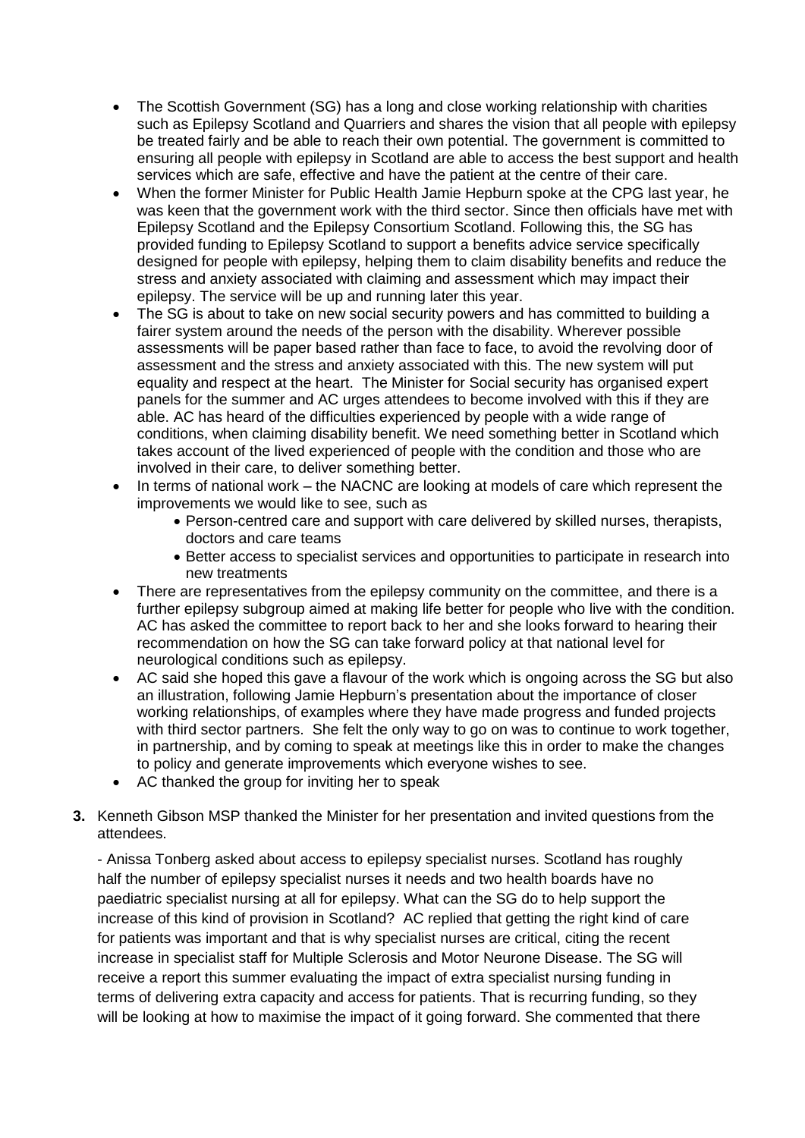- The Scottish Government (SG) has a long and close working relationship with charities such as Epilepsy Scotland and Quarriers and shares the vision that all people with epilepsy be treated fairly and be able to reach their own potential. The government is committed to ensuring all people with epilepsy in Scotland are able to access the best support and health services which are safe, effective and have the patient at the centre of their care.
- When the former Minister for Public Health Jamie Hepburn spoke at the CPG last year, he was keen that the government work with the third sector. Since then officials have met with Epilepsy Scotland and the Epilepsy Consortium Scotland. Following this, the SG has provided funding to Epilepsy Scotland to support a benefits advice service specifically designed for people with epilepsy, helping them to claim disability benefits and reduce the stress and anxiety associated with claiming and assessment which may impact their epilepsy. The service will be up and running later this year.
- The SG is about to take on new social security powers and has committed to building a fairer system around the needs of the person with the disability. Wherever possible assessments will be paper based rather than face to face, to avoid the revolving door of assessment and the stress and anxiety associated with this. The new system will put equality and respect at the heart. The Minister for Social security has organised expert panels for the summer and AC urges attendees to become involved with this if they are able. AC has heard of the difficulties experienced by people with a wide range of conditions, when claiming disability benefit. We need something better in Scotland which takes account of the lived experienced of people with the condition and those who are involved in their care, to deliver something better.
- In terms of national work the NACNC are looking at models of care which represent the improvements we would like to see, such as
	- Person-centred care and support with care delivered by skilled nurses, therapists, doctors and care teams
	- Better access to specialist services and opportunities to participate in research into new treatments
- There are representatives from the epilepsy community on the committee, and there is a further epilepsy subgroup aimed at making life better for people who live with the condition. AC has asked the committee to report back to her and she looks forward to hearing their recommendation on how the SG can take forward policy at that national level for neurological conditions such as epilepsy.
- AC said she hoped this gave a flavour of the work which is ongoing across the SG but also an illustration, following Jamie Hepburn's presentation about the importance of closer working relationships, of examples where they have made progress and funded projects with third sector partners. She felt the only way to go on was to continue to work together, in partnership, and by coming to speak at meetings like this in order to make the changes to policy and generate improvements which everyone wishes to see.
- AC thanked the group for inviting her to speak
- **3.** Kenneth Gibson MSP thanked the Minister for her presentation and invited questions from the attendees.

- Anissa Tonberg asked about access to epilepsy specialist nurses. Scotland has roughly half the number of epilepsy specialist nurses it needs and two health boards have no paediatric specialist nursing at all for epilepsy. What can the SG do to help support the increase of this kind of provision in Scotland? AC replied that getting the right kind of care for patients was important and that is why specialist nurses are critical, citing the recent increase in specialist staff for Multiple Sclerosis and Motor Neurone Disease. The SG will receive a report this summer evaluating the impact of extra specialist nursing funding in terms of delivering extra capacity and access for patients. That is recurring funding, so they will be looking at how to maximise the impact of it going forward. She commented that there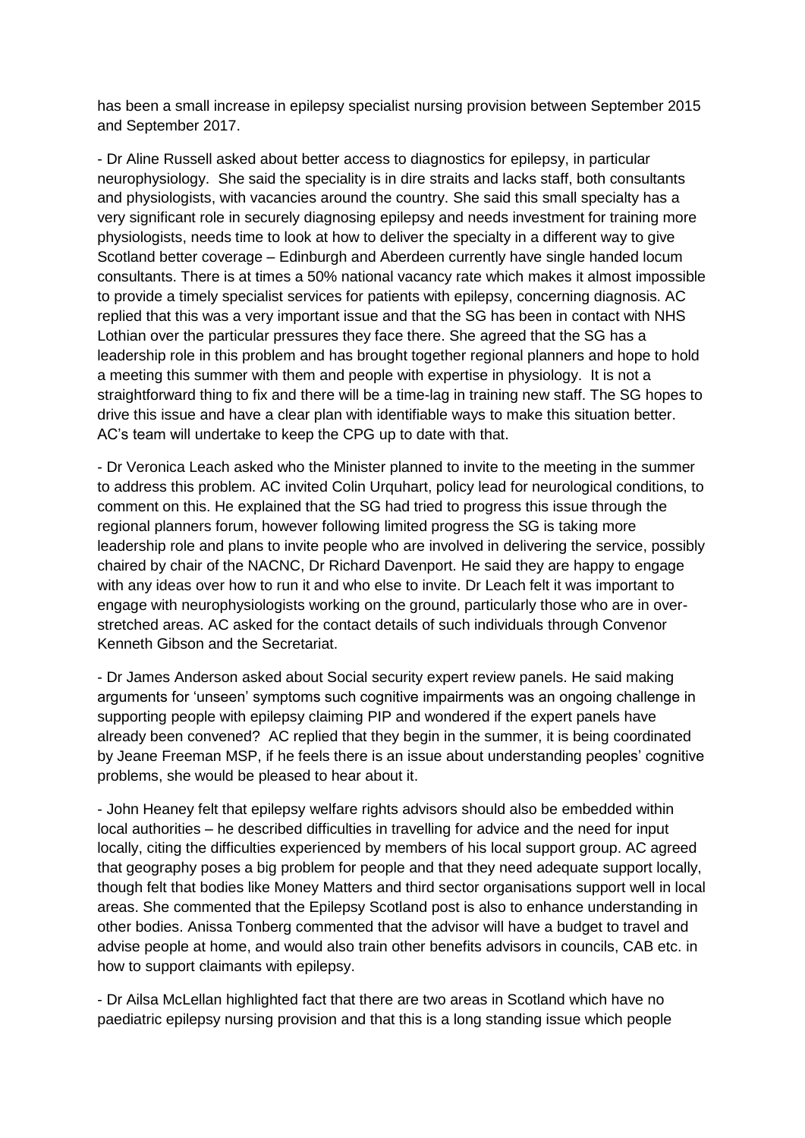has been a small increase in epilepsy specialist nursing provision between September 2015 and September 2017.

- Dr Aline Russell asked about better access to diagnostics for epilepsy, in particular neurophysiology. She said the speciality is in dire straits and lacks staff, both consultants and physiologists, with vacancies around the country. She said this small specialty has a very significant role in securely diagnosing epilepsy and needs investment for training more physiologists, needs time to look at how to deliver the specialty in a different way to give Scotland better coverage – Edinburgh and Aberdeen currently have single handed locum consultants. There is at times a 50% national vacancy rate which makes it almost impossible to provide a timely specialist services for patients with epilepsy, concerning diagnosis. AC replied that this was a very important issue and that the SG has been in contact with NHS Lothian over the particular pressures they face there. She agreed that the SG has a leadership role in this problem and has brought together regional planners and hope to hold a meeting this summer with them and people with expertise in physiology. It is not a straightforward thing to fix and there will be a time-lag in training new staff. The SG hopes to drive this issue and have a clear plan with identifiable ways to make this situation better. AC's team will undertake to keep the CPG up to date with that.

- Dr Veronica Leach asked who the Minister planned to invite to the meeting in the summer to address this problem. AC invited Colin Urquhart, policy lead for neurological conditions, to comment on this. He explained that the SG had tried to progress this issue through the regional planners forum, however following limited progress the SG is taking more leadership role and plans to invite people who are involved in delivering the service, possibly chaired by chair of the NACNC, Dr Richard Davenport. He said they are happy to engage with any ideas over how to run it and who else to invite. Dr Leach felt it was important to engage with neurophysiologists working on the ground, particularly those who are in overstretched areas. AC asked for the contact details of such individuals through Convenor Kenneth Gibson and the Secretariat.

- Dr James Anderson asked about Social security expert review panels. He said making arguments for 'unseen' symptoms such cognitive impairments was an ongoing challenge in supporting people with epilepsy claiming PIP and wondered if the expert panels have already been convened? AC replied that they begin in the summer, it is being coordinated by Jeane Freeman MSP, if he feels there is an issue about understanding peoples' cognitive problems, she would be pleased to hear about it.

- John Heaney felt that epilepsy welfare rights advisors should also be embedded within local authorities – he described difficulties in travelling for advice and the need for input locally, citing the difficulties experienced by members of his local support group. AC agreed that geography poses a big problem for people and that they need adequate support locally, though felt that bodies like Money Matters and third sector organisations support well in local areas. She commented that the Epilepsy Scotland post is also to enhance understanding in other bodies. Anissa Tonberg commented that the advisor will have a budget to travel and advise people at home, and would also train other benefits advisors in councils, CAB etc. in how to support claimants with epilepsy.

- Dr Ailsa McLellan highlighted fact that there are two areas in Scotland which have no paediatric epilepsy nursing provision and that this is a long standing issue which people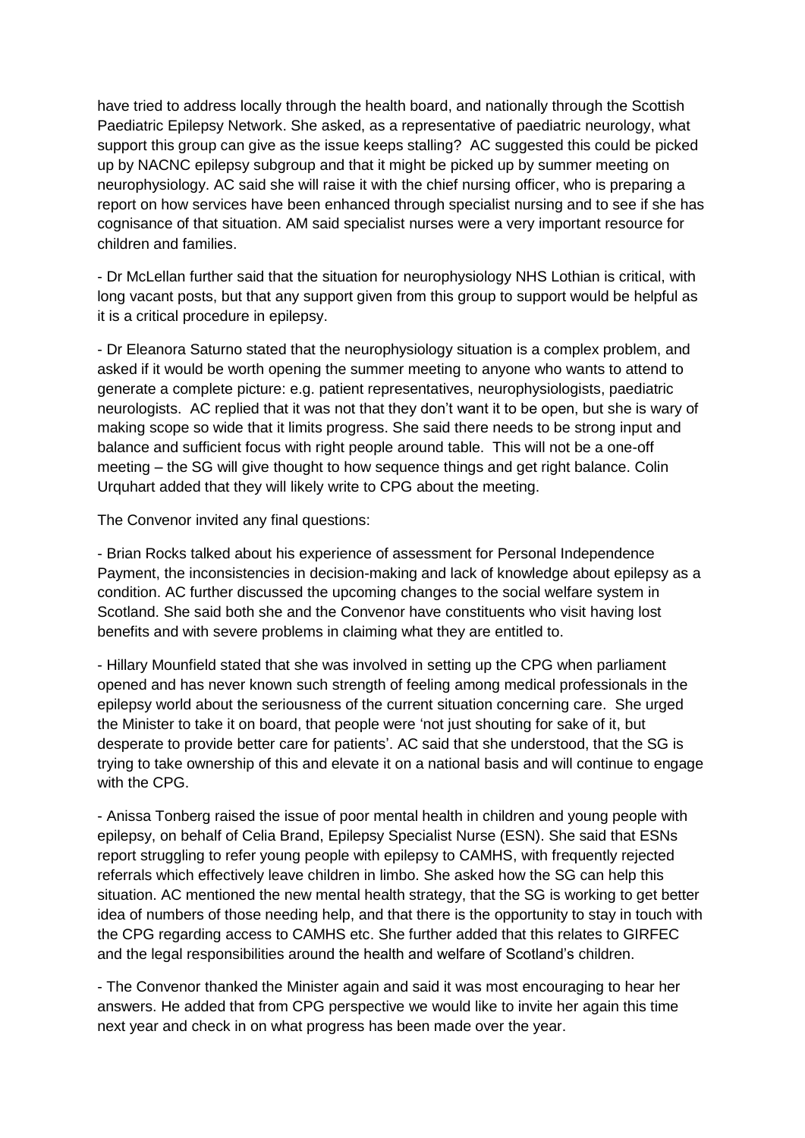have tried to address locally through the health board, and nationally through the Scottish Paediatric Epilepsy Network. She asked, as a representative of paediatric neurology, what support this group can give as the issue keeps stalling? AC suggested this could be picked up by NACNC epilepsy subgroup and that it might be picked up by summer meeting on neurophysiology. AC said she will raise it with the chief nursing officer, who is preparing a report on how services have been enhanced through specialist nursing and to see if she has cognisance of that situation. AM said specialist nurses were a very important resource for children and families.

- Dr McLellan further said that the situation for neurophysiology NHS Lothian is critical, with long vacant posts, but that any support given from this group to support would be helpful as it is a critical procedure in epilepsy.

- Dr Eleanora Saturno stated that the neurophysiology situation is a complex problem, and asked if it would be worth opening the summer meeting to anyone who wants to attend to generate a complete picture: e.g. patient representatives, neurophysiologists, paediatric neurologists. AC replied that it was not that they don't want it to be open, but she is wary of making scope so wide that it limits progress. She said there needs to be strong input and balance and sufficient focus with right people around table. This will not be a one-off meeting – the SG will give thought to how sequence things and get right balance. Colin Urquhart added that they will likely write to CPG about the meeting.

The Convenor invited any final questions:

- Brian Rocks talked about his experience of assessment for Personal Independence Payment, the inconsistencies in decision-making and lack of knowledge about epilepsy as a condition. AC further discussed the upcoming changes to the social welfare system in Scotland. She said both she and the Convenor have constituents who visit having lost benefits and with severe problems in claiming what they are entitled to.

- Hillary Mounfield stated that she was involved in setting up the CPG when parliament opened and has never known such strength of feeling among medical professionals in the epilepsy world about the seriousness of the current situation concerning care. She urged the Minister to take it on board, that people were 'not just shouting for sake of it, but desperate to provide better care for patients'. AC said that she understood, that the SG is trying to take ownership of this and elevate it on a national basis and will continue to engage with the CPG.

- Anissa Tonberg raised the issue of poor mental health in children and young people with epilepsy, on behalf of Celia Brand, Epilepsy Specialist Nurse (ESN). She said that ESNs report struggling to refer young people with epilepsy to CAMHS, with frequently rejected referrals which effectively leave children in limbo. She asked how the SG can help this situation. AC mentioned the new mental health strategy, that the SG is working to get better idea of numbers of those needing help, and that there is the opportunity to stay in touch with the CPG regarding access to CAMHS etc. She further added that this relates to GIRFEC and the legal responsibilities around the health and welfare of Scotland's children.

- The Convenor thanked the Minister again and said it was most encouraging to hear her answers. He added that from CPG perspective we would like to invite her again this time next year and check in on what progress has been made over the year.